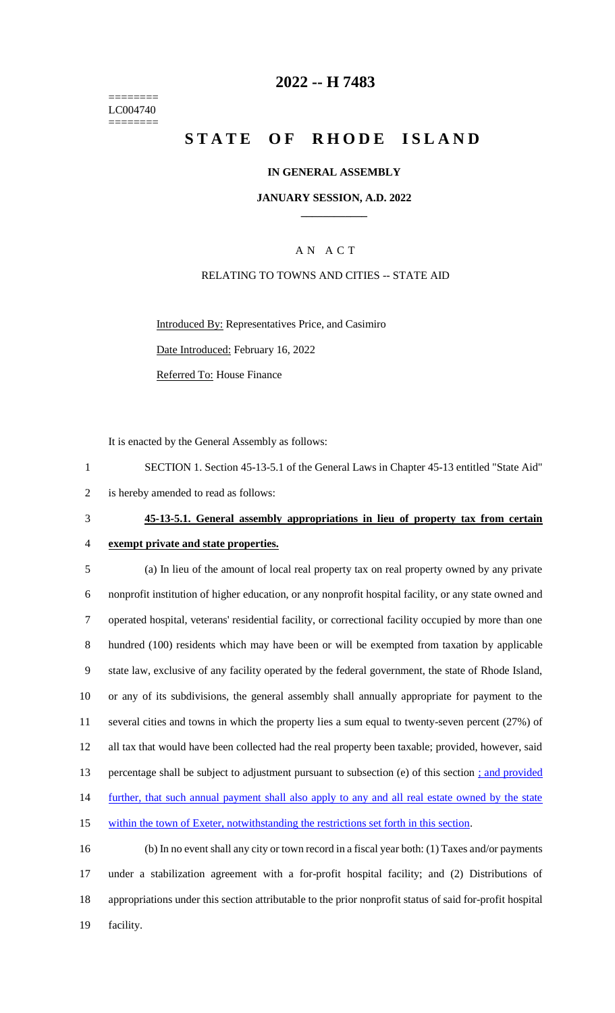======== LC004740 ========

## **2022 -- H 7483**

# **STATE OF RHODE ISLAND**

### **IN GENERAL ASSEMBLY**

### **JANUARY SESSION, A.D. 2022 \_\_\_\_\_\_\_\_\_\_\_\_**

## A N A C T

### RELATING TO TOWNS AND CITIES -- STATE AID

Introduced By: Representatives Price, and Casimiro Date Introduced: February 16, 2022

It is enacted by the General Assembly as follows:

Referred To: House Finance

1 SECTION 1. Section 45-13-5.1 of the General Laws in Chapter 45-13 entitled "State Aid" 2 is hereby amended to read as follows:

# 3 **45-13-5.1. General assembly appropriations in lieu of property tax from certain**

# 4 **exempt private and state properties.**

 (a) In lieu of the amount of local real property tax on real property owned by any private nonprofit institution of higher education, or any nonprofit hospital facility, or any state owned and operated hospital, veterans' residential facility, or correctional facility occupied by more than one hundred (100) residents which may have been or will be exempted from taxation by applicable state law, exclusive of any facility operated by the federal government, the state of Rhode Island, or any of its subdivisions, the general assembly shall annually appropriate for payment to the several cities and towns in which the property lies a sum equal to twenty-seven percent (27%) of all tax that would have been collected had the real property been taxable; provided, however, said percentage shall be subject to adjustment pursuant to subsection (e) of this section ; and provided 14 further, that such annual payment shall also apply to any and all real estate owned by the state within the town of Exeter, notwithstanding the restrictions set forth in this section.

 (b) In no event shall any city or town record in a fiscal year both: (1) Taxes and/or payments under a stabilization agreement with a for-profit hospital facility; and (2) Distributions of appropriations under this section attributable to the prior nonprofit status of said for-profit hospital 19 facility.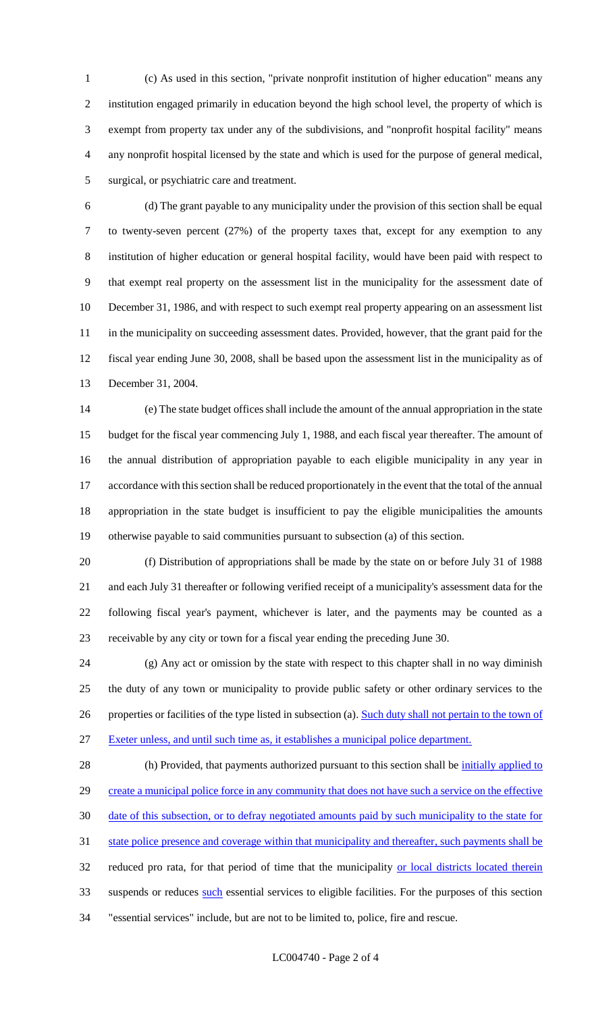(c) As used in this section, "private nonprofit institution of higher education" means any institution engaged primarily in education beyond the high school level, the property of which is exempt from property tax under any of the subdivisions, and "nonprofit hospital facility" means any nonprofit hospital licensed by the state and which is used for the purpose of general medical, surgical, or psychiatric care and treatment.

 (d) The grant payable to any municipality under the provision of this section shall be equal to twenty-seven percent (27%) of the property taxes that, except for any exemption to any institution of higher education or general hospital facility, would have been paid with respect to that exempt real property on the assessment list in the municipality for the assessment date of December 31, 1986, and with respect to such exempt real property appearing on an assessment list 11 in the municipality on succeeding assessment dates. Provided, however, that the grant paid for the fiscal year ending June 30, 2008, shall be based upon the assessment list in the municipality as of December 31, 2004.

 (e) The state budget offices shall include the amount of the annual appropriation in the state budget for the fiscal year commencing July 1, 1988, and each fiscal year thereafter. The amount of the annual distribution of appropriation payable to each eligible municipality in any year in accordance with this section shall be reduced proportionately in the event that the total of the annual appropriation in the state budget is insufficient to pay the eligible municipalities the amounts otherwise payable to said communities pursuant to subsection (a) of this section.

 (f) Distribution of appropriations shall be made by the state on or before July 31 of 1988 and each July 31 thereafter or following verified receipt of a municipality's assessment data for the following fiscal year's payment, whichever is later, and the payments may be counted as a receivable by any city or town for a fiscal year ending the preceding June 30.

 (g) Any act or omission by the state with respect to this chapter shall in no way diminish the duty of any town or municipality to provide public safety or other ordinary services to the 26 properties or facilities of the type listed in subsection (a). Such duty shall not pertain to the town of Exeter unless, and until such time as, it establishes a municipal police department.

28 (h) Provided, that payments authorized pursuant to this section shall be *initially applied to* 29 create a municipal police force in any community that does not have such a service on the effective date of this subsection, or to defray negotiated amounts paid by such municipality to the state for state police presence and coverage within that municipality and thereafter, such payments shall be 32 reduced pro rata, for that period of time that the municipality or local districts located therein 33 suspends or reduces such essential services to eligible facilities. For the purposes of this section "essential services" include, but are not to be limited to, police, fire and rescue.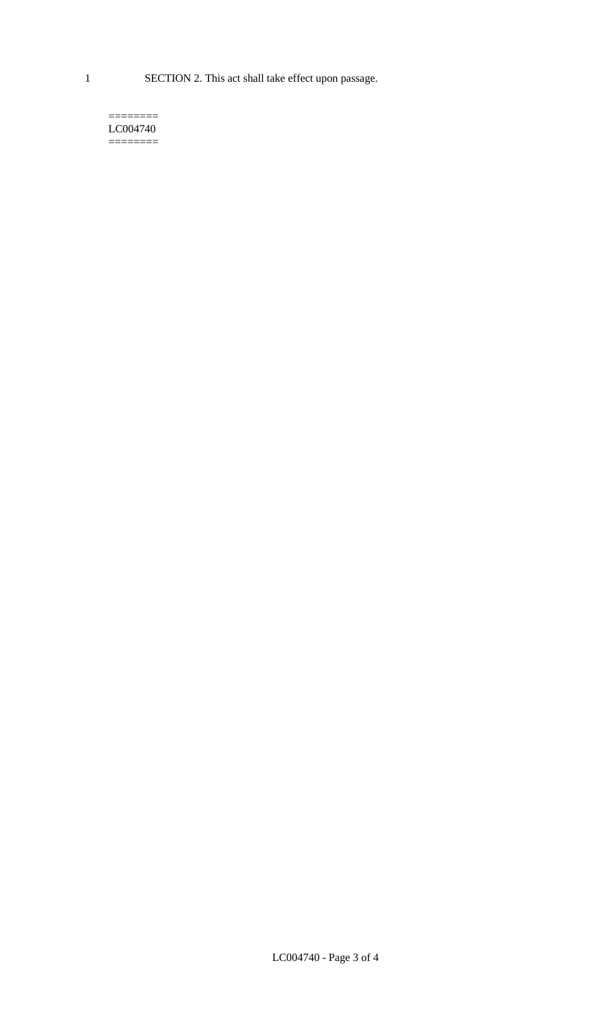1 SECTION 2. This act shall take effect upon passage.

#### $=$ LC004740  $=$